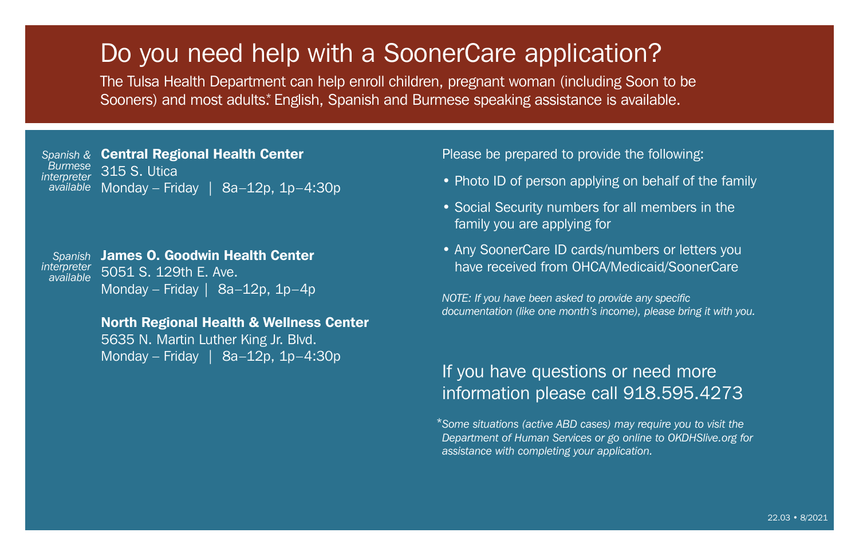## Do you need help with a SoonerCare application?

The Tulsa Health Department can help enroll children, pregnant woman (including Soon to be Sooners) and most adults.\* English, Spanish and Burmese speaking assistance is available.

Central Regional Health Center 315 S. Utica a<sup>vailable</sup> Monday – Friday | 8a–12p, 1p–4:30p *Spanish & Burmese interpreter*

Spanish James O. Goodwin Health Center 5051 S. 129th E. Ave. Monday – Friday | 8a–12p, 1p–4p *interpreter available*

> North Regional Health & Wellness Center 5635 N. Martin Luther King Jr. Blvd. Monday – Friday | 8a–12p, 1p–4:30p

Please be prepared to provide the following:

- Photo ID of person applying on behalf of the family
- Social Security numbers for all members in the family you are applying for
- Any SoonerCare ID cards/numbers or letters you have received from OHCA/Medicaid/SoonerCare

*NOTE: If you have been asked to provide any specific documentation (like one month's income), please bring it with you.*

## If you have questions or need more information please call 918.595.4273

\*Some situations (active ABD cases) may require you to visit the *Department of Human Services or go online to OKDHSlive.org for assistance with completing your application.*